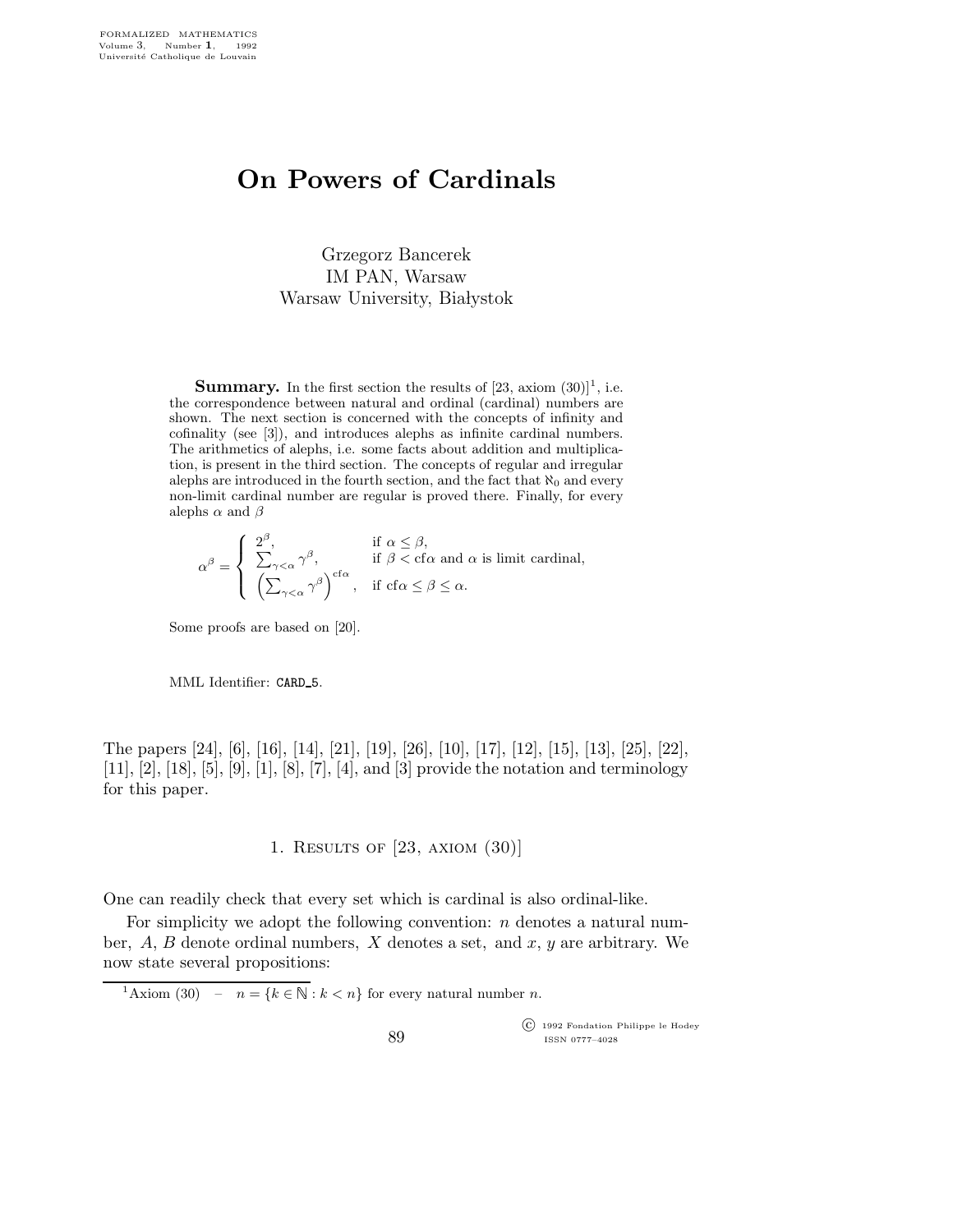# On Powers of Cardinals

Grzegorz Bancerek IM PAN, Warsaw Warsaw University, Białystok

**Summary.** In the first section the results of  $[23, \arcsin(30)]^1$ , i.e. the correspondence between natural and ordinal (cardinal) numbers are shown. The next section is concerned with the concepts of infinity and cofinality (see [3]), and introduces alephs as infinite cardinal numbers. The arithmetics of alephs, i.e. some facts about addition and multiplication, is present in the third section. The concepts of regular and irregular alephs are introduced in the fourth section, and the fact that  $\aleph_0$  and every non-limit cardinal number are regular is proved there. Finally, for every alephs  $\alpha$  and  $\beta$ 

$$
\alpha^{\beta} = \begin{cases} 2^{\beta}, & \text{if } \alpha \leq \beta, \\ \sum_{\gamma < \alpha} \gamma^{\beta}, & \text{if } \beta < \text{cf}\alpha \text{ and } \alpha \text{ is limit cardinal,} \\ \left(\sum_{\gamma < \alpha} \gamma^{\beta}\right)^{\text{cf}\alpha}, & \text{if } \text{cf}\alpha \leq \beta \leq \alpha. \end{cases}
$$

Some proofs are based on [20].

MML Identifier: CARD 5.

The papers [24], [6], [16], [14], [21], [19], [26], [10], [17], [12], [15], [13], [25], [22], [11], [2], [18], [5], [9], [1], [8], [7], [4], and [3] provide the notation and terminology for this paper.

## 1. Results of [23, axiom (30)]

One can readily check that every set which is cardinal is also ordinal-like.

For simplicity we adopt the following convention:  $n$  denotes a natural number,  $A, B$  denote ordinal numbers,  $X$  denotes a set, and  $x, y$  are arbitrary. We now state several propositions:

<sup>1</sup>Axiom (30) –  $n = \{k \in \mathbb{N} : k < n\}$  for every natural number *n*.

 c 1992 Fondation Philippe le Hodey ISSN 0777–4028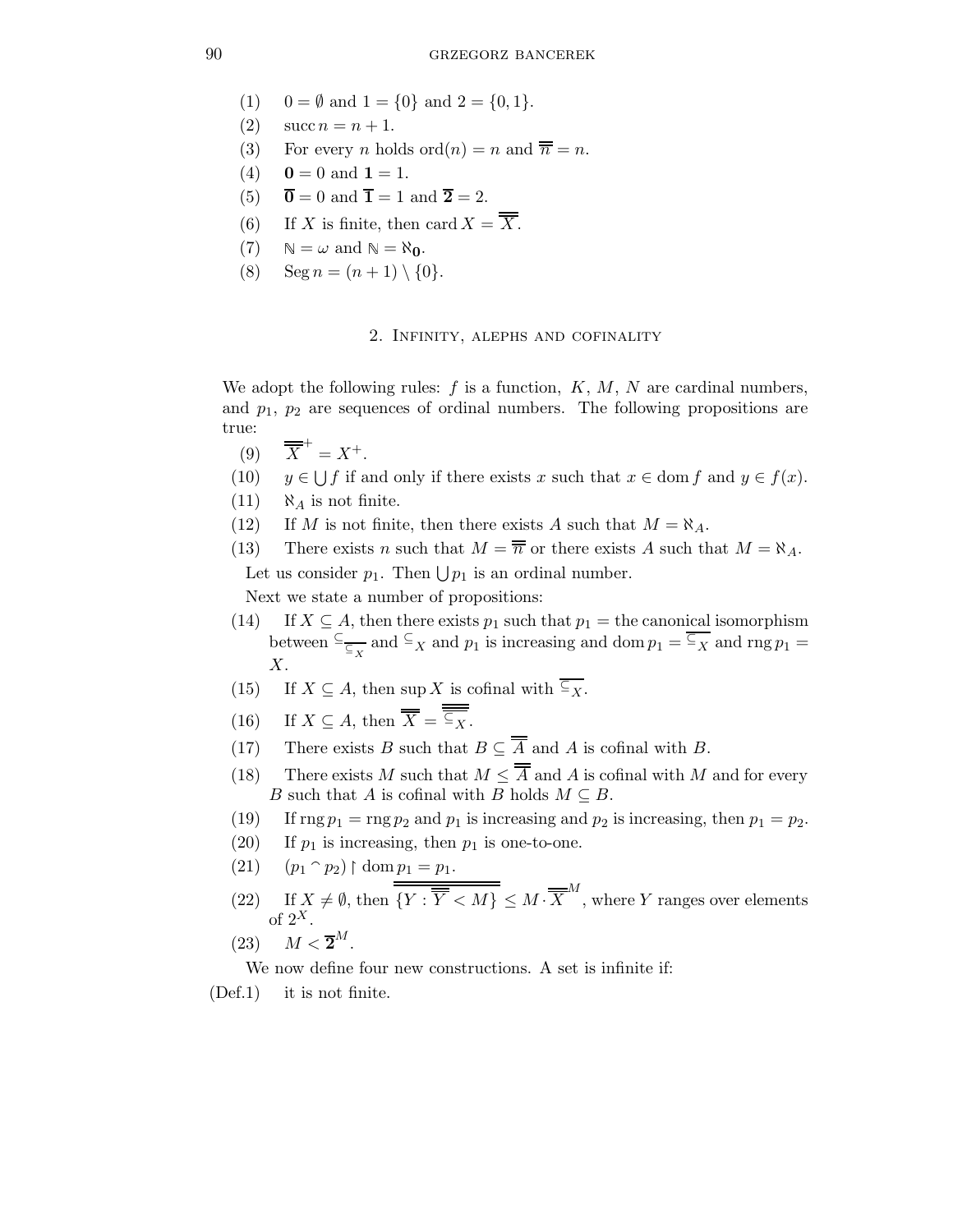- (1)  $0 = \emptyset$  and  $1 = \{0\}$  and  $2 = \{0, 1\}.$
- (2)  $\sec n = n + 1$ .
- (3) For every *n* holds ord $(n) = n$  and  $\overline{n} = n$ .
- (4)  $0 = 0$  and  $1 = 1$ .
- (5)  $\overline{\mathbf{0}} = 0$  and  $\overline{\mathbf{1}} = 1$  and  $\overline{\mathbf{2}} = 2$ .
- (6) If X is finite, then card  $X = \overline{\overline{X}}$ .
- (7)  $\mathbb{N} = \omega$  and  $\mathbb{N} = \aleph_0$ .
- (8)  $\text{Seg } n = (n+1) \setminus \{0\}.$

## 2. Infinity, alephs and cofinality

We adopt the following rules:  $f$  is a function,  $K, M, N$  are cardinal numbers, and  $p_1$ ,  $p_2$  are sequences of ordinal numbers. The following propositions are true:

- $(9)$  $^{+} = X^{+}.$
- $(10)$  $\bigcup f$  if and only if there exists x such that  $x \in \text{dom } f$  and  $y \in f(x)$ .
- $(11)$   $\aleph_A$  is not finite.
- (12) If M is not finite, then there exists A such that  $M = \aleph_A$ .
- (13) There exists n such that  $M = \overline{n}$  or there exists A such that  $M = \aleph_A$ . Let us consider  $p_1$ . Then  $\bigcup p_1$  is an ordinal number.

Next we state a number of propositions:

- (14) If  $X \subseteq A$ , then there exists  $p_1$  such that  $p_1 =$  the canonical isomorphism between  $\frac{C}{\subseteq_X}$  and  $\frac{C}{X}$  and  $p_1$  is increasing and dom  $p_1 = \frac{\overline{C}}{X}$  and  $\text{rng } p_1 =$ X.
- (15) If  $X \subseteq A$ , then sup X is cofinal with  $\overline{\overline{\zeta_X}}$ .
- (16) If  $X \subseteq A$ , then  $\overline{\overline{X}} = \overline{\overline{\subseteq_X}}$ .
- (17) There exists B such that  $B \subseteq \overline{A}$  and A is cofinal with B.
- (18) There exists M such that  $M < \overline{A}$  and A is cofinal with M and for every B such that A is cofinal with B holds  $M \subseteq B$ .
- (19) If  $\text{rng } p_1 = \text{rng } p_2$  and  $p_1$  is increasing and  $p_2$  is increasing, then  $p_1 = p_2$ .
- (20) If  $p_1$  is increasing, then  $p_1$  is one-to-one.
- $(p_1 \cap p_2) \restriction \text{dom } p_1 = p_1.$
- (22) If  $X \neq \emptyset$ , then  $\overline{\overline{Y : \overline{Y} < M\}} \leq M \cdot \overline{X}^M$ , where Y ranges over elements of  $2^X$ .
- (23)  $M < \overline{2}^M$ .

We now define four new constructions. A set is infinite if:

(Def.1) it is not finite.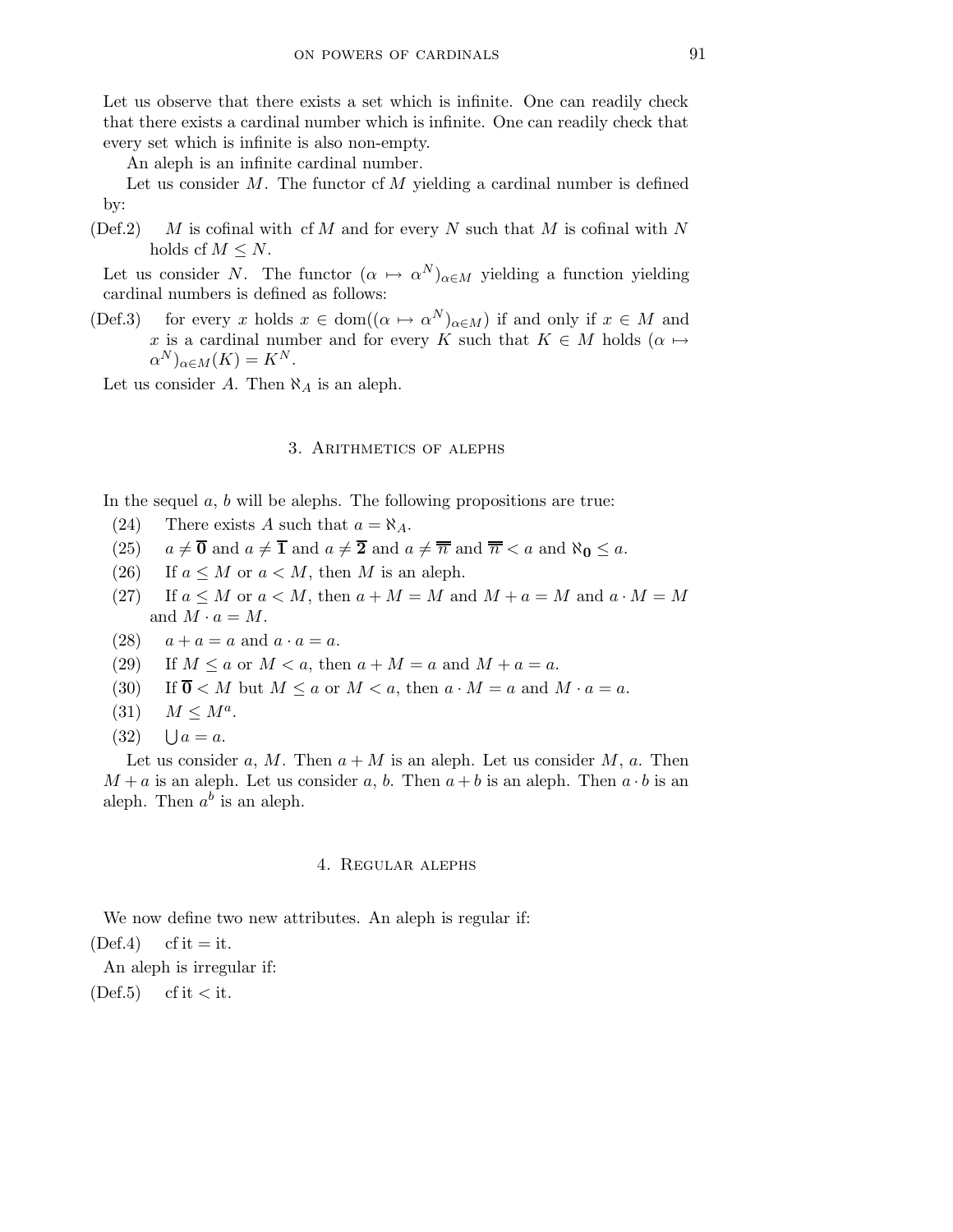Let us observe that there exists a set which is infinite. One can readily check that there exists a cardinal number which is infinite. One can readily check that every set which is infinite is also non-empty.

An aleph is an infinite cardinal number.

Let us consider  $M$ . The functor of  $M$  yielding a cardinal number is defined by:

(Def.2) M is cofinal with cf M and for every N such that M is cofinal with N holds cf  $M \leq N$ .

Let us consider N. The functor  $(\alpha \mapsto \alpha^N)_{\alpha \in M}$  yielding a function yielding cardinal numbers is defined as follows:

(Def.3) for every x holds  $x \in \text{dom}((\alpha \mapsto \alpha^N)_{\alpha \in M})$  if and only if  $x \in M$  and x is a cardinal number and for every K such that  $K \in M$  holds  $(\alpha \mapsto$  $\alpha^N)_{\alpha \in M}(K) = K^N.$ 

Let us consider A. Then  $\aleph_A$  is an aleph.

#### 3. Arithmetics of alephs

In the sequel  $a, b$  will be alephs. The following propositions are true:

- (24) There exists A such that  $a = \aleph_A$ .
- (25)  $a \neq \overline{0}$  and  $a \neq \overline{1}$  and  $a \neq \overline{2}$  and  $a \neq \overline{n}$  and  $\overline{n} < a$  and  $\aleph_0 \leq a$ .
- (26) If  $a \leq M$  or  $a < M$ , then M is an aleph.
- (27) If  $a \leq M$  or  $a < M$ , then  $a + M = M$  and  $M + a = M$  and  $a \cdot M = M$ and  $M \cdot a = M$ .
- (28)  $a + a = a$  and  $a \cdot a = a$ .
- (29) If  $M \le a$  or  $M < a$ , then  $a + M = a$  and  $M + a = a$ .
- (30) If  $\overline{0}$  < M but  $M \le a$  or  $M < a$ , then  $a \cdot M = a$  and  $M \cdot a = a$ .
- (31)  $M \leq M^a$ .
- $(32)$  $\bigcup a = a$ .

Let us consider a, M. Then  $a + M$  is an aleph. Let us consider M, a. Then  $M + a$  is an aleph. Let us consider a, b. Then  $a + b$  is an aleph. Then  $a \cdot b$  is an aleph. Then  $a^b$  is an aleph.

#### 4. Regular alephs

We now define two new attributes. An aleph is regular if:

 $(Def.4)$  cf it = it.

An aleph is irregular if:

 $(Def.5)$  cf it  $\lt$  it.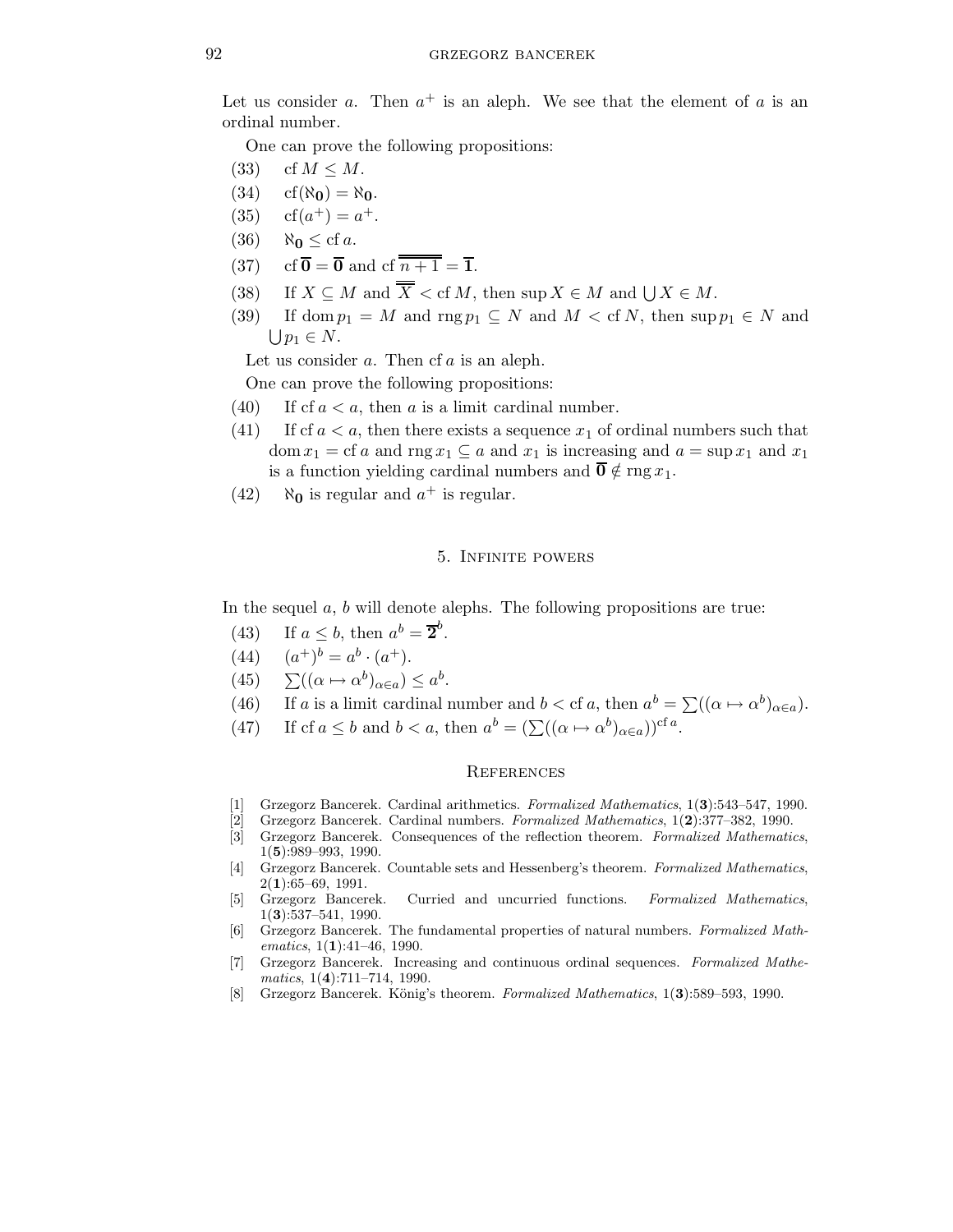Let us consider a. Then  $a^+$  is an aleph. We see that the element of a is an ordinal number.

One can prove the following propositions:

- (33) cf  $M \leq M$ .
- $(34)$  cf( $\aleph_0$ ) =  $\aleph_0$ .
- $(35)$  $^{+}) = a^{+}.$
- (36)  $\aleph_0 \leq cf a$ .
- (37) cf  $\overline{\mathbf{0}} = \overline{\mathbf{0}}$  and cf  $\overline{n+1} = \overline{\mathbf{1}}$ .
- (38) If  $X \subseteq M$  and  $X <$  cf M, then sup  $X \in M$  and  $\bigcup X \in M$ .
- (39) If dom  $p_1 = M$  and  $\text{rng } p_1 \subseteq N$  and  $M < \text{cf } N$ , then  $\text{sup } p_1 \in N$  and  $\bigcup p_1 \in N$ .

Let us consider  $a$ . Then cf  $a$  is an aleph.

One can prove the following propositions:

- (40) If cf  $a < a$ , then a is a limit cardinal number.
- (41) If cf  $a < a$ , then there exists a sequence  $x<sub>1</sub>$  of ordinal numbers such that dom  $x_1 = c f a$  and  $\text{rng } x_1 \subseteq a$  and  $x_1$  is increasing and  $a = \sup x_1$  and  $x_1$ is a function yielding cardinal numbers and  $\overline{\mathbf{0}} \notin \text{rng } x_1$ .
- (42)  $\aleph_0$  is regular and  $a^+$  is regular.

## 5. Infinite powers

In the sequel  $a, b$  will denote alephs. The following propositions are true:

- (43) If  $a \leq b$ , then  $a^b = \overline{2}^b$ .
- $(44)$  $^{+})^{b} = a^{b} \cdot (a^{+}).$
- (45)  $\sum ((\alpha \mapsto \alpha^b)_{\alpha \in a}) \leq a^b$ .
- (46) If a is a limit cardinal number and  $b <$  cf a, then  $a^b = \sum ((\alpha \mapsto \alpha^b)_{\alpha \in a})$ .
- (47) If cf  $a \leq b$  and  $b < a$ , then  $a^b = (\sum((\alpha \mapsto \alpha^b)_{\alpha \in a}))^{cf a}$ .

## **REFERENCES**

- [1] Grzegorz Bancerek. Cardinal arithmetics. Formalized Mathematics, 1(3):543–547, 1990.
- [2] Grzegorz Bancerek. Cardinal numbers. Formalized Mathematics, 1(2):377–382, 1990.
- [3] Grzegorz Bancerek. Consequences of the reflection theorem. Formalized Mathematics, 1(5):989–993, 1990.
- [4] Grzegorz Bancerek. Countable sets and Hessenberg's theorem. Formalized Mathematics,  $2(1):65-69, 1991.$ <br>[5] Grzegorz Bancerek.
- Curried and uncurried functions. Formalized Mathematics, 1(3):537–541, 1990.
- [6] Grzegorz Bancerek. The fundamental properties of natural numbers. Formalized Mathematics,  $1(1):41-46$ , 1990.
- [7] Grzegorz Bancerek. Increasing and continuous ordinal sequences. Formalized Mathe $matics, 1(4):711–714, 1990.$
- [8] Grzegorz Bancerek. König's theorem. Formalized Mathematics, 1(3):589–593, 1990.